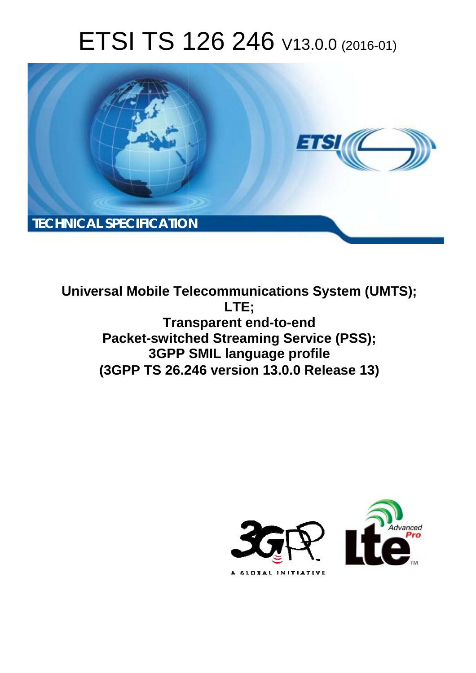# ETSI TS 126 246 V13.0.0 (2016-01)



**Universal Mobile Tel elecommunications System ( (UMTS); Tran ansparent end-to-end Packet-switched Streaming Service (PSS); 3GPP S P SMIL language profile (3GPP TS 26.2 .246 version 13.0.0 Release 13 13) LTE;** 

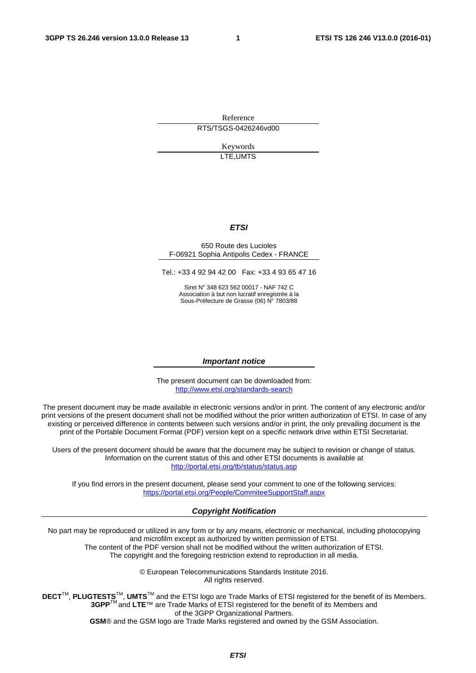Reference RTS/TSGS-0426246vd00

> Keywords LTE,UMTS

#### *ETSI*

#### 650 Route des Lucioles F-06921 Sophia Antipolis Cedex - FRANCE

Tel.: +33 4 92 94 42 00 Fax: +33 4 93 65 47 16

Siret N° 348 623 562 00017 - NAF 742 C Association à but non lucratif enregistrée à la Sous-Préfecture de Grasse (06) N° 7803/88

#### *Important notice*

The present document can be downloaded from: <http://www.etsi.org/standards-search>

The present document may be made available in electronic versions and/or in print. The content of any electronic and/or print versions of the present document shall not be modified without the prior written authorization of ETSI. In case of any existing or perceived difference in contents between such versions and/or in print, the only prevailing document is the print of the Portable Document Format (PDF) version kept on a specific network drive within ETSI Secretariat.

Users of the present document should be aware that the document may be subject to revision or change of status. Information on the current status of this and other ETSI documents is available at <http://portal.etsi.org/tb/status/status.asp>

If you find errors in the present document, please send your comment to one of the following services: <https://portal.etsi.org/People/CommiteeSupportStaff.aspx>

#### *Copyright Notification*

No part may be reproduced or utilized in any form or by any means, electronic or mechanical, including photocopying and microfilm except as authorized by written permission of ETSI.

The content of the PDF version shall not be modified without the written authorization of ETSI. The copyright and the foregoing restriction extend to reproduction in all media.

> © European Telecommunications Standards Institute 2016. All rights reserved.

**DECT**TM, **PLUGTESTS**TM, **UMTS**TM and the ETSI logo are Trade Marks of ETSI registered for the benefit of its Members. **3GPP**TM and **LTE**™ are Trade Marks of ETSI registered for the benefit of its Members and of the 3GPP Organizational Partners.

**GSM**® and the GSM logo are Trade Marks registered and owned by the GSM Association.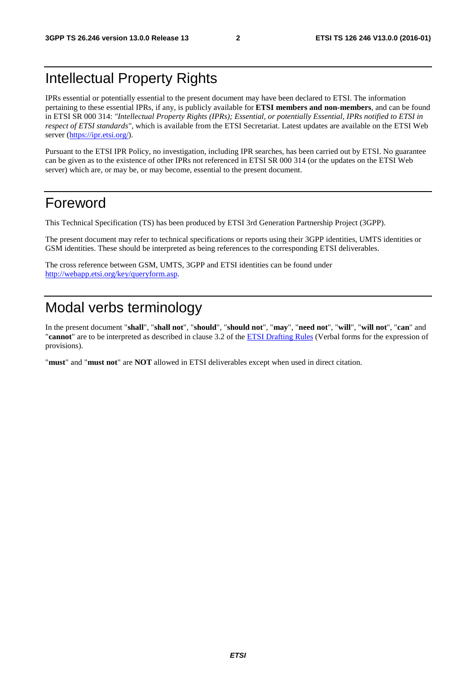#### Intellectual Property Rights

IPRs essential or potentially essential to the present document may have been declared to ETSI. The information pertaining to these essential IPRs, if any, is publicly available for **ETSI members and non-members**, and can be found in ETSI SR 000 314: *"Intellectual Property Rights (IPRs); Essential, or potentially Essential, IPRs notified to ETSI in respect of ETSI standards"*, which is available from the ETSI Secretariat. Latest updates are available on the ETSI Web server [\(https://ipr.etsi.org/](https://ipr.etsi.org/)).

Pursuant to the ETSI IPR Policy, no investigation, including IPR searches, has been carried out by ETSI. No guarantee can be given as to the existence of other IPRs not referenced in ETSI SR 000 314 (or the updates on the ETSI Web server) which are, or may be, or may become, essential to the present document.

#### Foreword

This Technical Specification (TS) has been produced by ETSI 3rd Generation Partnership Project (3GPP).

The present document may refer to technical specifications or reports using their 3GPP identities, UMTS identities or GSM identities. These should be interpreted as being references to the corresponding ETSI deliverables.

The cross reference between GSM, UMTS, 3GPP and ETSI identities can be found under <http://webapp.etsi.org/key/queryform.asp>.

#### Modal verbs terminology

In the present document "**shall**", "**shall not**", "**should**", "**should not**", "**may**", "**need not**", "**will**", "**will not**", "**can**" and "**cannot**" are to be interpreted as described in clause 3.2 of the [ETSI Drafting Rules](http://portal.etsi.org/Help/editHelp!/Howtostart/ETSIDraftingRules.aspx) (Verbal forms for the expression of provisions).

"**must**" and "**must not**" are **NOT** allowed in ETSI deliverables except when used in direct citation.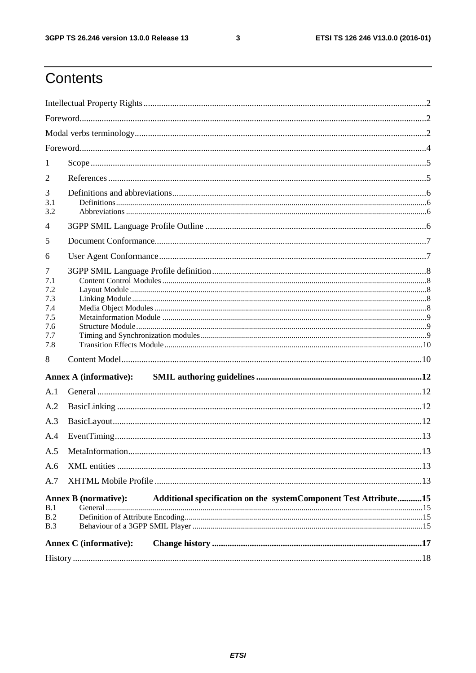$\mathbf{3}$ 

### Contents

| 1               |                               |                                                                  |  |  |  |  |
|-----------------|-------------------------------|------------------------------------------------------------------|--|--|--|--|
| 2               |                               |                                                                  |  |  |  |  |
| 3<br>3.1<br>3.2 |                               |                                                                  |  |  |  |  |
| 4               |                               |                                                                  |  |  |  |  |
| 5               |                               |                                                                  |  |  |  |  |
| 6               |                               |                                                                  |  |  |  |  |
| 7<br>7.1<br>7.2 |                               |                                                                  |  |  |  |  |
| 7.3             |                               |                                                                  |  |  |  |  |
| 7.4<br>7.5      |                               |                                                                  |  |  |  |  |
| 7.6             |                               |                                                                  |  |  |  |  |
| 7.7<br>7.8      |                               |                                                                  |  |  |  |  |
| 8               |                               |                                                                  |  |  |  |  |
|                 |                               |                                                                  |  |  |  |  |
| A.1             |                               |                                                                  |  |  |  |  |
| A.2             |                               |                                                                  |  |  |  |  |
| A.3             |                               |                                                                  |  |  |  |  |
| A.4             |                               |                                                                  |  |  |  |  |
| A.5             |                               |                                                                  |  |  |  |  |
|                 |                               |                                                                  |  |  |  |  |
| A.6             |                               |                                                                  |  |  |  |  |
| A.7             |                               |                                                                  |  |  |  |  |
| B.1             | <b>Annex B</b> (normative):   | Additional specification on the systemComponent Test Attribute15 |  |  |  |  |
| B.2             |                               |                                                                  |  |  |  |  |
| B.3             |                               |                                                                  |  |  |  |  |
|                 | <b>Annex C</b> (informative): |                                                                  |  |  |  |  |
|                 |                               |                                                                  |  |  |  |  |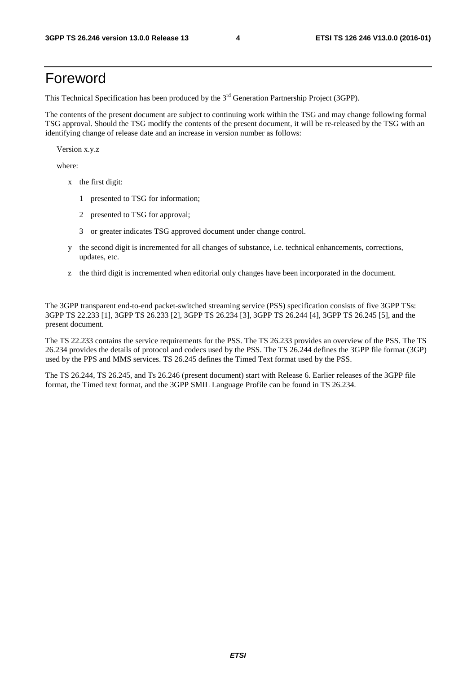#### Foreword

This Technical Specification has been produced by the 3<sup>rd</sup> Generation Partnership Project (3GPP).

The contents of the present document are subject to continuing work within the TSG and may change following formal TSG approval. Should the TSG modify the contents of the present document, it will be re-released by the TSG with an identifying change of release date and an increase in version number as follows:

Version x.y.z

where:

- x the first digit:
	- 1 presented to TSG for information;
	- 2 presented to TSG for approval;
	- 3 or greater indicates TSG approved document under change control.
- y the second digit is incremented for all changes of substance, i.e. technical enhancements, corrections, updates, etc.
- z the third digit is incremented when editorial only changes have been incorporated in the document.

The 3GPP transparent end-to-end packet-switched streaming service (PSS) specification consists of five 3GPP TSs: 3GPP TS 22.233 [1], 3GPP TS 26.233 [2], 3GPP TS 26.234 [3], 3GPP TS 26.244 [4], 3GPP TS 26.245 [5], and the present document.

The TS 22.233 contains the service requirements for the PSS. The TS 26.233 provides an overview of the PSS. The TS 26.234 provides the details of protocol and codecs used by the PSS. The TS 26.244 defines the 3GPP file format (3GP) used by the PPS and MMS services. TS 26.245 defines the Timed Text format used by the PSS.

The TS 26.244, TS 26.245, and Ts 26.246 (present document) start with Release 6. Earlier releases of the 3GPP file format, the Timed text format, and the 3GPP SMIL Language Profile can be found in TS 26.234.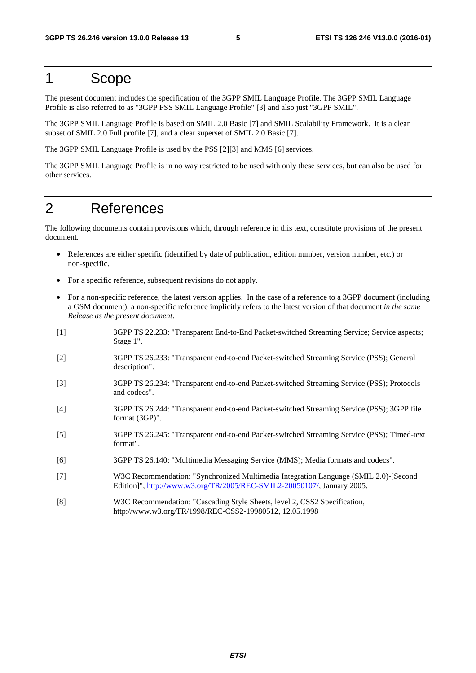#### 1 Scope

The present document includes the specification of the 3GPP SMIL Language Profile. The 3GPP SMIL Language Profile is also referred to as "3GPP PSS SMIL Language Profile" [3] and also just "3GPP SMIL".

The 3GPP SMIL Language Profile is based on SMIL 2.0 Basic [7] and SMIL Scalability Framework. It is a clean subset of SMIL 2.0 Full profile [7], and a clear superset of SMIL 2.0 Basic [7].

The 3GPP SMIL Language Profile is used by the PSS [2][3] and MMS [6] services.

The 3GPP SMIL Language Profile is in no way restricted to be used with only these services, but can also be used for other services.

#### 2 References

The following documents contain provisions which, through reference in this text, constitute provisions of the present document.

- References are either specific (identified by date of publication, edition number, version number, etc.) or non-specific.
- For a specific reference, subsequent revisions do not apply.
- For a non-specific reference, the latest version applies. In the case of a reference to a 3GPP document (including a GSM document), a non-specific reference implicitly refers to the latest version of that document *in the same Release as the present document*.
- [1] 3GPP TS 22.233: "Transparent End-to-End Packet-switched Streaming Service; Service aspects; Stage 1".
- [2] 3GPP TS 26.233: "Transparent end-to-end Packet-switched Streaming Service (PSS); General description".
- [3] 3GPP TS 26.234: "Transparent end-to-end Packet-switched Streaming Service (PSS); Protocols and codecs".
- [4] 3GPP TS 26.244: "Transparent end-to-end Packet-switched Streaming Service (PSS); 3GPP file format (3GP)".
- [5] 3GPP TS 26.245: "Transparent end-to-end Packet-switched Streaming Service (PSS); Timed-text format".
- [6] 3GPP TS 26.140: "Multimedia Messaging Service (MMS); Media formats and codecs".
- [7] W3C Recommendation: "Synchronized Multimedia Integration Language (SMIL 2.0)-[Second Edition]",<http://www.w3.org/TR/2005/REC-SMIL2-20050107/>, January 2005.
- [8] W3C Recommendation: "Cascading Style Sheets, level 2, CSS2 Specification, http://www.w3.org/TR/1998/REC-CSS2-19980512, 12.05.1998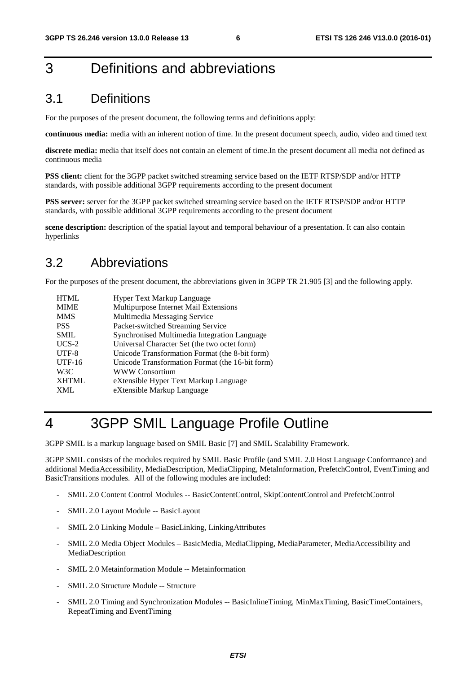#### 3 Definitions and abbreviations

#### 3.1 Definitions

For the purposes of the present document, the following terms and definitions apply:

**continuous media:** media with an inherent notion of time. In the present document speech, audio, video and timed text

**discrete media:** media that itself does not contain an element of time.In the present document all media not defined as continuous media

**PSS client:** client for the 3GPP packet switched streaming service based on the IETF RTSP/SDP and/or HTTP standards, with possible additional 3GPP requirements according to the present document

**PSS server:** server for the 3GPP packet switched streaming service based on the IETF RTSP/SDP and/or HTTP standards, with possible additional 3GPP requirements according to the present document

**scene description:** description of the spatial layout and temporal behaviour of a presentation. It can also contain hyperlinks

#### 3.2 Abbreviations

For the purposes of the present document, the abbreviations given in 3GPP TR 21.905 [3] and the following apply.

| <b>HTML</b>  | Hyper Text Markup Language                      |
|--------------|-------------------------------------------------|
| <b>MIME</b>  | Multipurpose Internet Mail Extensions           |
| <b>MMS</b>   | Multimedia Messaging Service                    |
| <b>PSS</b>   | Packet-switched Streaming Service               |
| <b>SMIL</b>  | Synchronised Multimedia Integration Language    |
| $UCS-2$      | Universal Character Set (the two octet form)    |
| UTF-8        | Unicode Transformation Format (the 8-bit form)  |
| $UTF-16$     | Unicode Transformation Format (the 16-bit form) |
| W3C          | <b>WWW Consortium</b>                           |
| <b>XHTML</b> | eXtensible Hyper Text Markup Language           |
| XML          | eXtensible Markup Language                      |

### 4 3GPP SMIL Language Profile Outline

3GPP SMIL is a markup language based on SMIL Basic [7] and SMIL Scalability Framework.

3GPP SMIL consists of the modules required by SMIL Basic Profile (and SMIL 2.0 Host Language Conformance) and additional MediaAccessibility, MediaDescription, MediaClipping, MetaInformation, PrefetchControl, EventTiming and BasicTransitions modules. All of the following modules are included:

- SMIL 2.0 Content Control Modules -- BasicContentControl, SkipContentControl and PrefetchControl
- SMIL 2.0 Layout Module -- BasicLayout
- SMIL 2.0 Linking Module BasicLinking, LinkingAttributes
- SMIL 2.0 Media Object Modules BasicMedia, MediaClipping, MediaParameter, MediaAccessibility and MediaDescription
- SMIL 2.0 Metainformation Module -- Metainformation
- SMIL 2.0 Structure Module -- Structure
- SMIL 2.0 Timing and Synchronization Modules -- BasicInlineTiming, MinMaxTiming, BasicTimeContainers, RepeatTiming and EventTiming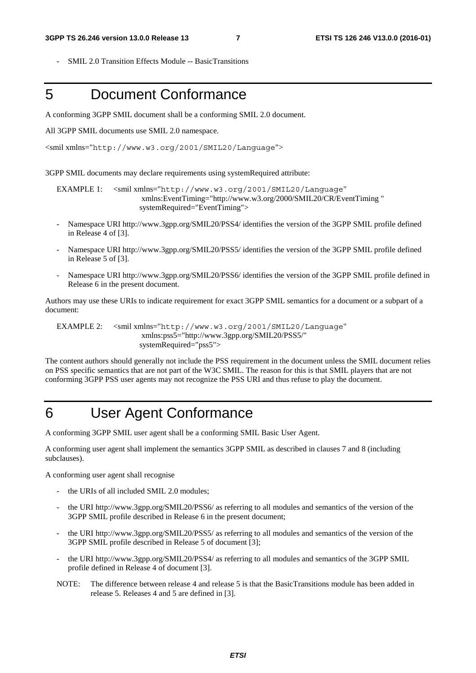- SMIL 2.0 Transition Effects Module -- BasicTransitions

#### 5 Document Conformance

A conforming 3GPP SMIL document shall be a conforming SMIL 2.0 document.

All 3GPP SMIL documents use SMIL 2.0 namespace.

```
<smil xmlns="http://www.w3.org/2001/SMIL20/Language">
```
3GPP SMIL documents may declare requirements using systemRequired attribute:

EXAMPLE 1: <smil xmlns="http://www.w3.org/2001/SMIL20/Language" xmlns:EventTiming="http://www.w3.org/2000/SMIL20/CR/EventTiming " systemRequired="EventTiming">

- Namespace URI http://www.3gpp.org/SMIL20/PSS4/ identifies the version of the 3GPP SMIL profile defined in Release 4 of [3].
- Namespace URI http://www.3gpp.org/SMIL20/PSS5/ identifies the version of the 3GPP SMIL profile defined in Release 5 of [3].
- Namespace URI http://www.3gpp.org/SMIL20/PSS6/ identifies the version of the 3GPP SMIL profile defined in Release 6 in the present document.

Authors may use these URIs to indicate requirement for exact 3GPP SMIL semantics for a document or a subpart of a document:

EXAMPLE 2: <smil xmlns="http://www.w3.org/2001/SMIL20/Language" xmlns:pss5="http://www.3gpp.org/SMIL20/PSS5/" systemRequired="pss5">

The content authors should generally not include the PSS requirement in the document unless the SMIL document relies on PSS specific semantics that are not part of the W3C SMIL. The reason for this is that SMIL players that are not conforming 3GPP PSS user agents may not recognize the PSS URI and thus refuse to play the document.

#### 6 User Agent Conformance

A conforming 3GPP SMIL user agent shall be a conforming SMIL Basic User Agent.

A conforming user agent shall implement the semantics 3GPP SMIL as described in clauses 7 and 8 (including subclauses).

A conforming user agent shall recognise

- the URIs of all included SMIL 2.0 modules;
- the URI http://www.3gpp.org/SMIL20/PSS6/ as referring to all modules and semantics of the version of the 3GPP SMIL profile described in Release 6 in the present document;
- the URI http://www.3gpp.org/SMIL20/PSS5/ as referring to all modules and semantics of the version of the 3GPP SMIL profile described in Release 5 of document [3];
- the URI http://www.3gpp.org/SMIL20/PSS4/ as referring to all modules and semantics of the 3GPP SMIL profile defined in Release 4 of document [3].
- NOTE: The difference between release 4 and release 5 is that the BasicTransitions module has been added in release 5. Releases 4 and 5 are defined in [3].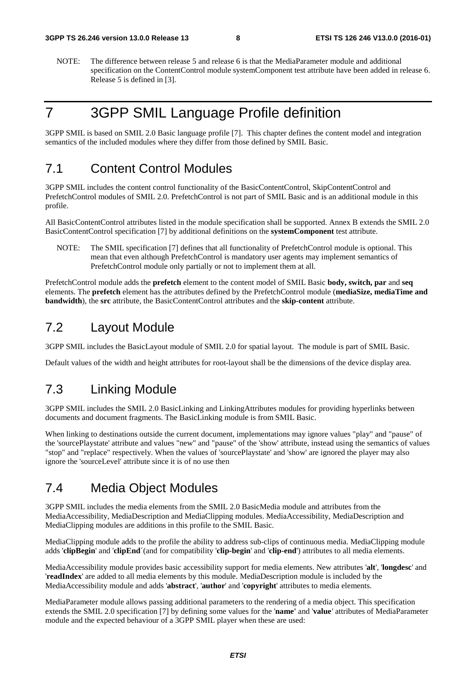NOTE: The difference between release 5 and release 6 is that the MediaParameter module and additional specification on the ContentControl module systemComponent test attribute have been added in release 6. Release 5 is defined in [3].

### 7 3GPP SMIL Language Profile definition

3GPP SMIL is based on SMIL 2.0 Basic language profile [7]. This chapter defines the content model and integration semantics of the included modules where they differ from those defined by SMIL Basic.

#### 7.1 Content Control Modules

3GPP SMIL includes the content control functionality of the BasicContentControl, SkipContentControl and PrefetchControl modules of SMIL 2.0. PrefetchControl is not part of SMIL Basic and is an additional module in this profile.

All BasicContentControl attributes listed in the module specification shall be supported. Annex B extends the SMIL 2.0 BasicContentControl specification [7] by additional definitions on the **systemComponent** test attribute.

NOTE: The SMIL specification [7] defines that all functionality of PrefetchControl module is optional. This mean that even although PrefetchControl is mandatory user agents may implement semantics of PrefetchControl module only partially or not to implement them at all.

PrefetchControl module adds the **prefetch** element to the content model of SMIL Basic **body, switch, par** and **seq** elements. The **prefetch** element has the attributes defined by the PrefetchControl module (**mediaSize, mediaTime and bandwidth**), the **src** attribute, the BasicContentControl attributes and the **skip-content** attribute.

#### 7.2 Layout Module

3GPP SMIL includes the BasicLayout module of SMIL 2.0 for spatial layout. The module is part of SMIL Basic.

Default values of the width and height attributes for root-layout shall be the dimensions of the device display area.

#### 7.3 Linking Module

3GPP SMIL includes the SMIL 2.0 BasicLinking and LinkingAttributes modules for providing hyperlinks between documents and document fragments. The BasicLinking module is from SMIL Basic.

When linking to destinations outside the current document, implementations may ignore values "play" and "pause" of the 'sourcePlaystate' attribute and values "new" and "pause" of the 'show' attribute, instead using the semantics of values "stop" and "replace" respectively. When the values of 'sourcePlaystate' and 'show' are ignored the player may also ignore the 'sourceLevel' attribute since it is of no use then

#### 7.4 Media Object Modules

3GPP SMIL includes the media elements from the SMIL 2.0 BasicMedia module and attributes from the MediaAccessibility, MediaDescription and MediaClipping modules. MediaAccessibility, MediaDescription and MediaClipping modules are additions in this profile to the SMIL Basic.

MediaClipping module adds to the profile the ability to address sub-clips of continuous media. MediaClipping module adds '**clipBegin**' and '**clipEnd**´(and for compatibility '**clip-begin**' and '**clip-end**') attributes to all media elements.

MediaAccessibility module provides basic accessibility support for media elements. New attributes '**alt**', '**longdesc**' and '**readIndex**' are added to all media elements by this module. MediaDescription module is included by the MediaAccessibility module and adds '**abstract**', '**author**' and '**copyright**' attributes to media elements.

MediaParameter module allows passing additional parameters to the rendering of a media object. This specification extends the SMIL 2.0 specification [7] by defining some values for the '**name'** and '**value***'* attributes of MediaParameter module and the expected behaviour of a 3GPP SMIL player when these are used: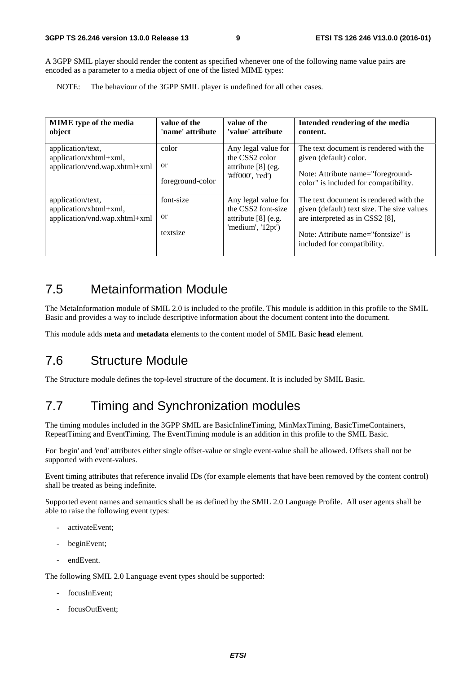A 3GPP SMIL player should render the content as specified whenever one of the following name value pairs are encoded as a parameter to a media object of one of the listed MIME types:

NOTE: The behaviour of the 3GPP SMIL player is undefined for all other cases.

| <b>MIME</b> type of the media<br>object                                      | value of the<br>'name' attribute | value of the<br>'value' attribute                                                                     | Intended rendering of the media<br>content.                                                                                                                                                  |
|------------------------------------------------------------------------------|----------------------------------|-------------------------------------------------------------------------------------------------------|----------------------------------------------------------------------------------------------------------------------------------------------------------------------------------------------|
| application/text,<br>application/xhtml+xml,<br>application/vnd.wap.xhtml+xml | color<br>or<br>foreground-color  | Any legal value for<br>the CSS <sub>2</sub> color<br>attribute $[8]$ (eg.<br>$\text{#ff000}$ , 'red') | The text document is rendered with the<br>given (default) color.<br>Note: Attribute name="foreground-<br>color" is included for compatibility.                                               |
| application/text,<br>application/xhtml+xml,<br>application/vnd.wap.xhtml+xml | font-size<br>or<br>textsize      | Any legal value for<br>the CSS2 font-size<br>attribute $[8]$ (e.g.<br>'medium', '12pt')               | The text document is rendered with the<br>given (default) text size. The size values<br>are interpreted as in CSS2 [8],<br>Note: Attribute name="fontsize" is<br>included for compatibility. |

#### 7.5 Metainformation Module

The MetaInformation module of SMIL 2.0 is included to the profile. This module is addition in this profile to the SMIL Basic and provides a way to include descriptive information about the document content into the document.

This module adds **meta** and **metadata** elements to the content model of SMIL Basic **head** element.

#### 7.6 Structure Module

The Structure module defines the top-level structure of the document. It is included by SMIL Basic.

#### 7.7 Timing and Synchronization modules

The timing modules included in the 3GPP SMIL are BasicInlineTiming, MinMaxTiming, BasicTimeContainers, RepeatTiming and EventTiming. The EventTiming module is an addition in this profile to the SMIL Basic.

For 'begin' and 'end' attributes either single offset-value or single event-value shall be allowed. Offsets shall not be supported with event-values.

Event timing attributes that reference invalid IDs (for example elements that have been removed by the content control) shall be treated as being indefinite.

Supported event names and semantics shall be as defined by the SMIL 2.0 Language Profile. All user agents shall be able to raise the following event types:

- activateEvent:
- beginEvent;
- endEvent.

The following SMIL 2.0 Language event types should be supported:

- focusInEvent;
- focusOutEvent;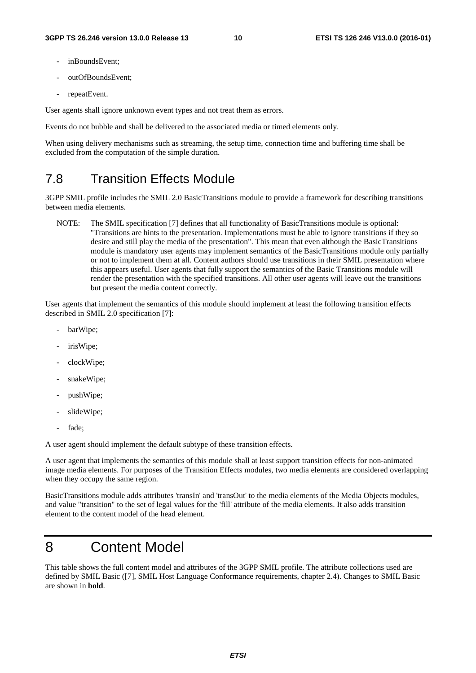- inBoundsEvent:
- outOfBoundsEvent;
- repeatEvent.

User agents shall ignore unknown event types and not treat them as errors.

Events do not bubble and shall be delivered to the associated media or timed elements only.

When using delivery mechanisms such as streaming, the setup time, connection time and buffering time shall be excluded from the computation of the simple duration.

#### 7.8 Transition Effects Module

3GPP SMIL profile includes the SMIL 2.0 BasicTransitions module to provide a framework for describing transitions between media elements.

NOTE: The SMIL specification [7] defines that all functionality of BasicTransitions module is optional: "Transitions are hints to the presentation. Implementations must be able to ignore transitions if they so desire and still play the media of the presentation". This mean that even although the BasicTransitions module is mandatory user agents may implement semantics of the BasicTransitions module only partially or not to implement them at all. Content authors should use transitions in their SMIL presentation where this appears useful. User agents that fully support the semantics of the Basic Transitions module will render the presentation with the specified transitions. All other user agents will leave out the transitions but present the media content correctly.

User agents that implement the semantics of this module should implement at least the following transition effects described in SMIL 2.0 specification [7]:

- barWipe;
- irisWipe;
- clockWipe;
- snakeWipe;
- pushWipe;
- slideWipe;
- fade:

A user agent should implement the default subtype of these transition effects.

A user agent that implements the semantics of this module shall at least support transition effects for non-animated image media elements. For purposes of the Transition Effects modules, two media elements are considered overlapping when they occupy the same region.

BasicTransitions module adds attributes 'transIn' and 'transOut' to the media elements of the Media Objects modules, and value "transition" to the set of legal values for the 'fill' attribute of the media elements. It also adds transition element to the content model of the head element.

#### 8 Content Model

This table shows the full content model and attributes of the 3GPP SMIL profile. The attribute collections used are defined by SMIL Basic ([7], SMIL Host Language Conformance requirements, chapter 2.4). Changes to SMIL Basic are shown in **bold**.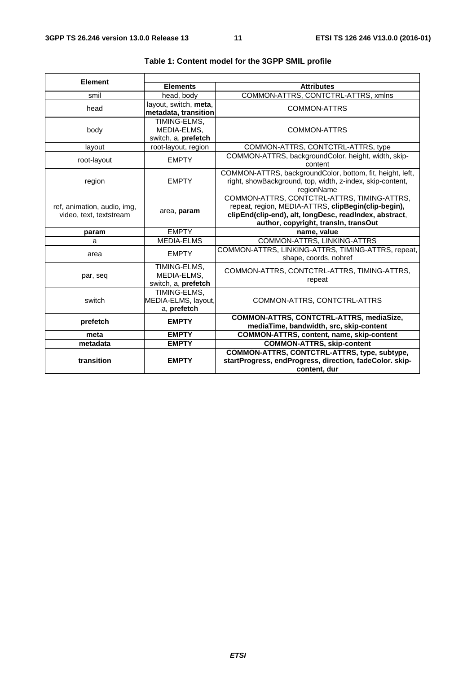| <b>Element</b>              |                       |                                                                |  |  |  |  |
|-----------------------------|-----------------------|----------------------------------------------------------------|--|--|--|--|
|                             | <b>Elements</b>       | <b>Attributes</b>                                              |  |  |  |  |
| smil                        | head, body            | COMMON-ATTRS, CONTCTRL-ATTRS, xmlns                            |  |  |  |  |
| head                        | layout, switch, meta, | COMMON-ATTRS                                                   |  |  |  |  |
|                             | metadata, transition  |                                                                |  |  |  |  |
|                             | TIMING-ELMS,          |                                                                |  |  |  |  |
| body                        | MEDIA-ELMS,           | COMMON-ATTRS                                                   |  |  |  |  |
|                             | switch, a, prefetch   |                                                                |  |  |  |  |
| layout                      | root-layout, region   | COMMON-ATTRS, CONTCTRL-ATTRS, type                             |  |  |  |  |
| root-layout                 | <b>EMPTY</b>          | COMMON-ATTRS, backgroundColor, height, width, skip-<br>content |  |  |  |  |
|                             |                       | COMMON-ATTRS, backgroundColor, bottom, fit, height, left,      |  |  |  |  |
| region                      | <b>EMPTY</b>          | right, showBackground, top, width, z-index, skip-content,      |  |  |  |  |
|                             |                       | regionName                                                     |  |  |  |  |
|                             |                       | COMMON-ATTRS, CONTCTRL-ATTRS, TIMING-ATTRS,                    |  |  |  |  |
| ref, animation, audio, img, | area, param           | repeat, region, MEDIA-ATTRS, clipBegin(clip-begin),            |  |  |  |  |
| video, text, textstream     |                       | clipEnd(clip-end), alt, longDesc, readIndex, abstract,         |  |  |  |  |
|                             |                       | author, copyright, transln, transOut                           |  |  |  |  |
| param                       | <b>EMPTY</b>          | name, value                                                    |  |  |  |  |
| a                           | <b>MEDIA-ELMS</b>     | COMMON-ATTRS, LINKING-ATTRS                                    |  |  |  |  |
| area                        | <b>EMPTY</b>          | COMMON-ATTRS, LINKING-ATTRS, TIMING-ATTRS, repeat,             |  |  |  |  |
|                             |                       | shape, coords, nohref                                          |  |  |  |  |
|                             | TIMING-ELMS,          | COMMON-ATTRS, CONTCTRL-ATTRS, TIMING-ATTRS,                    |  |  |  |  |
| par, seq                    | MEDIA-ELMS,           | repeat                                                         |  |  |  |  |
|                             | switch, a, prefetch   |                                                                |  |  |  |  |
|                             | TIMING-ELMS,          |                                                                |  |  |  |  |
| switch                      | MEDIA-ELMS, layout,   | COMMON-ATTRS, CONTCTRL-ATTRS                                   |  |  |  |  |
|                             | a, prefetch           |                                                                |  |  |  |  |
| prefetch                    | <b>EMPTY</b>          | COMMON-ATTRS, CONTCTRL-ATTRS, mediaSize,                       |  |  |  |  |
|                             |                       | mediaTime, bandwidth, src, skip-content                        |  |  |  |  |
| meta                        | <b>EMPTY</b>          | COMMON-ATTRS, content, name, skip-content                      |  |  |  |  |
| metadata                    | <b>EMPTY</b>          | <b>COMMON-ATTRS, skip-content</b>                              |  |  |  |  |
|                             |                       | COMMON-ATTRS, CONTCTRL-ATTRS, type, subtype,                   |  |  |  |  |
| transition                  | <b>EMPTY</b>          | startProgress, endProgress, direction, fadeColor. skip-        |  |  |  |  |
|                             |                       | content, dur                                                   |  |  |  |  |

#### **Table 1: Content model for the 3GPP SMIL profile**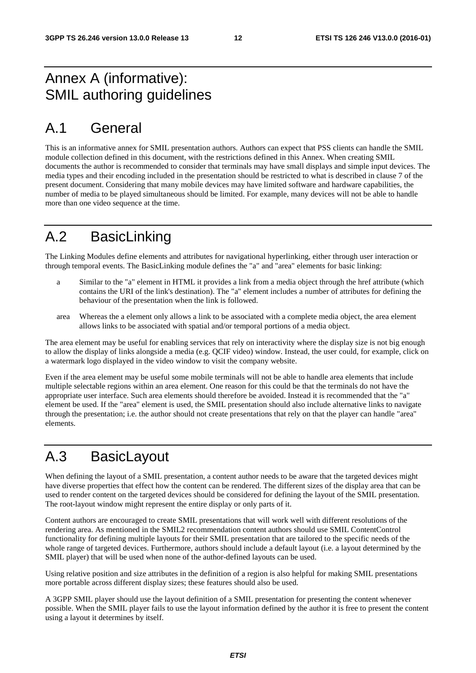#### Annex A (informative): SMIL authoring guidelines

### A.1 General

This is an informative annex for SMIL presentation authors. Authors can expect that PSS clients can handle the SMIL module collection defined in this document, with the restrictions defined in this Annex. When creating SMIL documents the author is recommended to consider that terminals may have small displays and simple input devices. The media types and their encoding included in the presentation should be restricted to what is described in clause 7 of the present document. Considering that many mobile devices may have limited software and hardware capabilities, the number of media to be played simultaneous should be limited. For example, many devices will not be able to handle more than one video sequence at the time.

### A.2 BasicLinking

The Linking Modules define elements and attributes for navigational hyperlinking, either through user interaction or through temporal events. The BasicLinking module defines the "a" and "area" elements for basic linking:

- a Similar to the "a" element in HTML it provides a link from a media object through the href attribute (which contains the URI of the link's destination). The "a" element includes a number of attributes for defining the behaviour of the presentation when the link is followed.
- area Whereas the a element only allows a link to be associated with a complete media object, the area element allows links to be associated with spatial and/or temporal portions of a media object.

The area element may be useful for enabling services that rely on interactivity where the display size is not big enough to allow the display of links alongside a media (e.g. QCIF video) window. Instead, the user could, for example, click on a watermark logo displayed in the video window to visit the company website.

Even if the area element may be useful some mobile terminals will not be able to handle area elements that include multiple selectable regions within an area element. One reason for this could be that the terminals do not have the appropriate user interface. Such area elements should therefore be avoided. Instead it is recommended that the "a" element be used. If the "area" element is used, the SMIL presentation should also include alternative links to navigate through the presentation; i.e. the author should not create presentations that rely on that the player can handle "area" elements.

### A.3 BasicLayout

When defining the layout of a SMIL presentation, a content author needs to be aware that the targeted devices might have diverse properties that effect how the content can be rendered. The different sizes of the display area that can be used to render content on the targeted devices should be considered for defining the layout of the SMIL presentation. The root-layout window might represent the entire display or only parts of it.

Content authors are encouraged to create SMIL presentations that will work well with different resolutions of the rendering area. As mentioned in the SMIL2 recommendation content authors should use SMIL ContentControl functionality for defining multiple layouts for their SMIL presentation that are tailored to the specific needs of the whole range of targeted devices. Furthermore, authors should include a default layout (i.e. a layout determined by the SMIL player) that will be used when none of the author-defined layouts can be used.

Using relative position and size attributes in the definition of a region is also helpful for making SMIL presentations more portable across different display sizes; these features should also be used.

A 3GPP SMIL player should use the layout definition of a SMIL presentation for presenting the content whenever possible. When the SMIL player fails to use the layout information defined by the author it is free to present the content using a layout it determines by itself.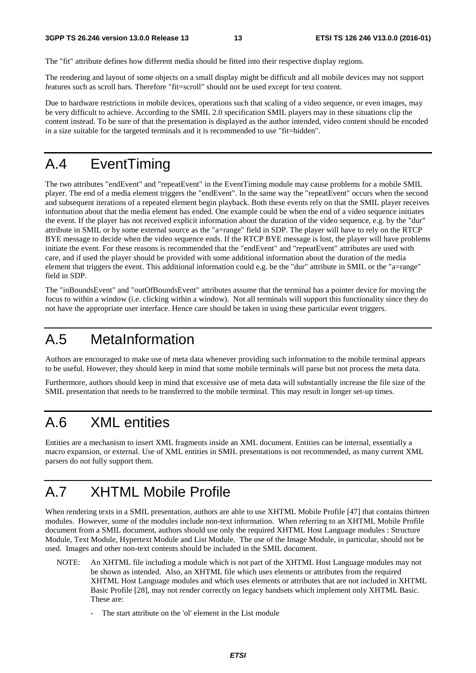The "fit" attribute defines how different media should be fitted into their respective display regions.

The rendering and layout of some objects on a small display might be difficult and all mobile devices may not support features such as scroll bars. Therefore "fit=scroll" should not be used except for text content.

Due to hardware restrictions in mobile devices, operations such that scaling of a video sequence, or even images, may be very difficult to achieve. According to the SMIL 2.0 specification SMIL players may in these situations clip the content instead. To be sure of that the presentation is displayed as the author intended, video content should be encoded in a size suitable for the targeted terminals and it is recommended to use "fit=hidden".

### A.4 EventTiming

The two attributes "endEvent" and "repeatEvent" in the EventTiming module may cause problems for a mobile SMIL player. The end of a media element triggers the "endEvent". In the same way the "repeatEvent" occurs when the second and subsequent iterations of a repeated element begin playback. Both these events rely on that the SMIL player receives information about that the media element has ended. One example could be when the end of a video sequence initiates the event. If the player has not received explicit information about the duration of the video sequence, e.g. by the "dur" attribute in SMIL or by some external source as the "a=range" field in SDP. The player will have to rely on the RTCP BYE message to decide when the video sequence ends. If the RTCP BYE message is lost, the player will have problems initiate the event. For these reasons is recommended that the "endEvent" and "repeatEvent" attributes are used with care, and if used the player should be provided with some additional information about the duration of the media element that triggers the event. This additional information could e.g. be the "dur" attribute in SMIL or the "a=range" field in SDP.

The "inBoundsEvent" and "outOfBoundsEvent" attributes assume that the terminal has a pointer device for moving the focus to within a window (i.e. clicking within a window). Not all terminals will support this functionality since they do not have the appropriate user interface. Hence care should be taken in using these particular event triggers.

#### A.5 MetaInformation

Authors are encouraged to make use of meta data whenever providing such information to the mobile terminal appears to be useful. However, they should keep in mind that some mobile terminals will parse but not process the meta data.

Furthermore, authors should keep in mind that excessive use of meta data will substantially increase the file size of the SMIL presentation that needs to be transferred to the mobile terminal. This may result in longer set-up times.

#### A.6 XML entities

Entities are a mechanism to insert XML fragments inside an XML document. Entities can be internal, essentially a macro expansion, or external. Use of XML entities in SMIL presentations is not recommended, as many current XML parsers do not fully support them.

### A.7 XHTML Mobile Profile

When rendering texts in a SMIL presentation, authors are able to use XHTML Mobile Profile [47] that contains thirteen modules. However, some of the modules include non-text information. When referring to an XHTML Mobile Profile document from a SMIL document, authors should use only the required XHTML Host Language modules : Structure Module, Text Module, Hypertext Module and List Module. The use of the Image Module, in particular, should not be used. Images and other non-text contents should be included in the SMIL document.

- NOTE: An XHTML file including a module which is not part of the XHTML Host Language modules may not be shown as intended. Also, an XHTML file which uses elements or attributes from the required XHTML Host Language modules and which uses elements or attributes that are not included in XHTML Basic Profile [28], may not render correctly on legacy handsets which implement only XHTML Basic. These are:
	- The start attribute on the 'ol' element in the List module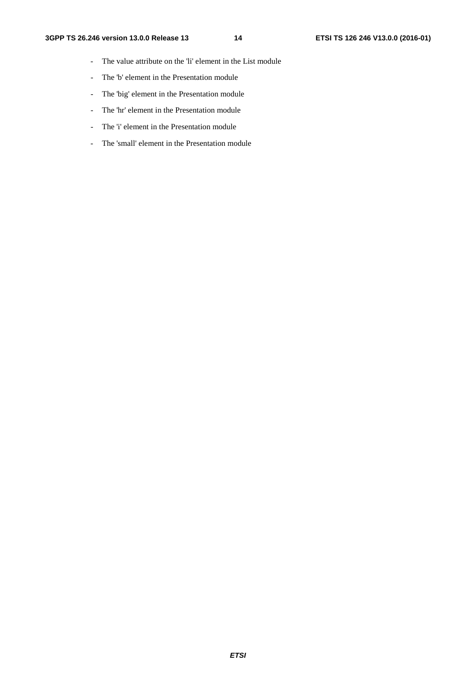- The value attribute on the 'li' element in the List module
- The 'b' element in the Presentation module
- The 'big' element in the Presentation module
- The 'hr' element in the Presentation module
- The 'i' element in the Presentation module
- The 'small' element in the Presentation module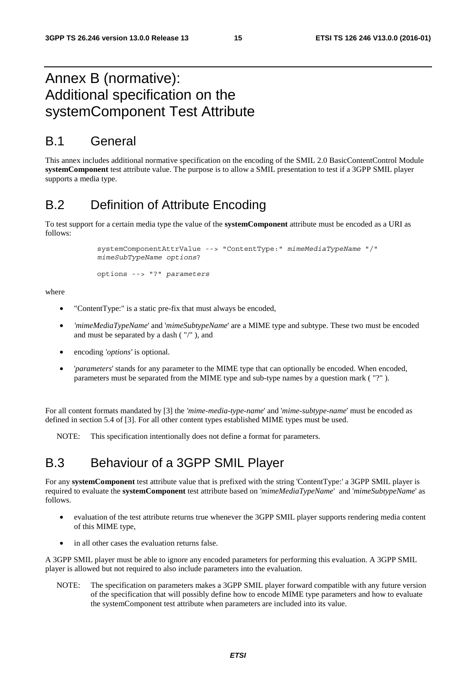#### Annex B (normative): Additional specification on the systemComponent Test Attribute

#### B.1 General

This annex includes additional normative specification on the encoding of the SMIL 2.0 BasicContentControl Module **systemComponent** test attribute value. The purpose is to allow a SMIL presentation to test if a 3GPP SMIL player supports a media type.

#### B.2 Definition of Attribute Encoding

To test support for a certain media type the value of the **systemComponent** attribute must be encoded as a URI as follows:

> systemComponentAttrValue --> "ContentType:" *mimeMediaTypeName* "/" *mimeSubTypeName options*?

```
options --> "?" parameters
```
where

- "ContentType:" is a static pre-fix that must always be encoded,
- *'mimeMediaTypeName*' and '*mimeSubtypeName*' are a MIME type and subtype. These two must be encoded and must be separated by a dash ( "/" ), and
- encoding *'options'* is optional.
- '*parameters*' stands for any parameter to the MIME type that can optionally be encoded. When encoded, parameters must be separated from the MIME type and sub-type names by a question mark ( "?" ).

For all content formats mandated by [3] the *'mime-media-type-name*' and '*mime-subtype-name*' must be encoded as defined in section 5.4 of [3]. For all other content types established MIME types must be used.

NOTE: This specification intentionally does not define a format for parameters.

#### B.3 Behaviour of a 3GPP SMIL Player

For any **systemComponent** test attribute value that is prefixed with the string 'ContentType:' a 3GPP SMIL player is required to evaluate the **systemComponent** test attribute based on *'mimeMediaTypeName*' and '*mimeSubtypeName*' as follows.

- evaluation of the test attribute returns true whenever the 3GPP SMIL player supports rendering media content of this MIME type,
- in all other cases the evaluation returns false.

A 3GPP SMIL player must be able to ignore any encoded parameters for performing this evaluation. A 3GPP SMIL player is allowed but not required to also include parameters into the evaluation.

NOTE: The specification on parameters makes a 3GPP SMIL player forward compatible with any future version of the specification that will possibly define how to encode MIME type parameters and how to evaluate the systemComponent test attribute when parameters are included into its value.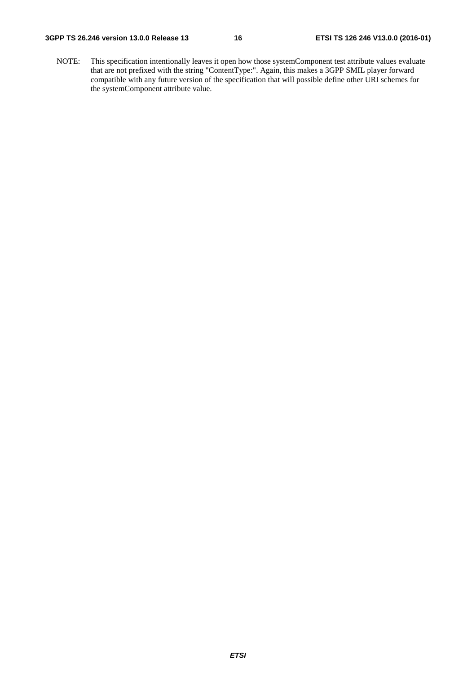#### **3GPP TS 26.246 version 13.0.0 Release 13 16 ETSI TS 126 246 V13.0.0 (2016-01)**

NOTE: This specification intentionally leaves it open how those systemComponent test attribute values evaluate that are not prefixed with the string "ContentType:". Again, this makes a 3GPP SMIL player forward compatible with any future version of the specification that will possible define other URI schemes for the systemComponent attribute value.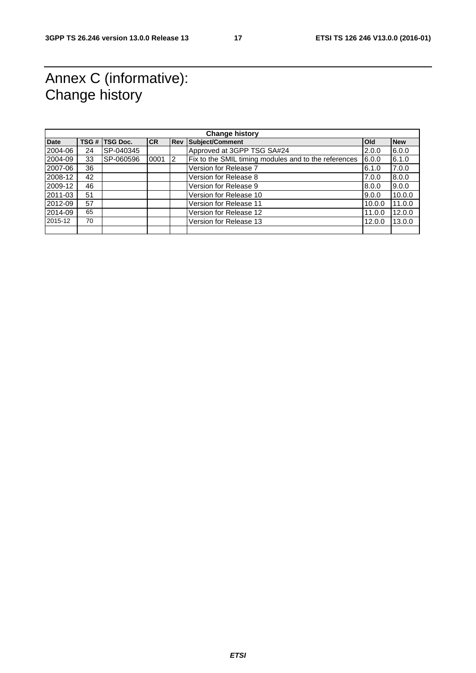#### Annex C (informative): Change history

| <b>Change history</b> |    |                |           |            |                                                      |            |            |
|-----------------------|----|----------------|-----------|------------|------------------------------------------------------|------------|------------|
| <b>Date</b>           |    | TSG # TSG Doc. | <b>CR</b> | <b>Rev</b> | Subject/Comment                                      | <b>Old</b> | <b>New</b> |
| 2004-06               | 24 | SP-040345      |           |            | Approved at 3GPP TSG SA#24                           | 2.0.0      | 6.0.0      |
| 2004-09               | 33 | SP-060596      | 0001      | 12         | Fix to the SMIL timing modules and to the references | 6.0.0      | 6.1.0      |
| 2007-06               | 36 |                |           |            | Version for Release 7                                | 6.1.0      | 7.0.0      |
| 2008-12               | 42 |                |           |            | Version for Release 8                                | 7.0.0      | 8.0.0      |
| 2009-12               | 46 |                |           |            | Version for Release 9                                | 8.0.0      | 9.0.0      |
| 2011-03               | 51 |                |           |            | Version for Release 10                               | 9.0.0      | 10.0.0     |
| 2012-09               | 57 |                |           |            | Version for Release 11                               | 10.0.0     | 11.0.0     |
| 2014-09               | 65 |                |           |            | Version for Release 12                               | 11.0.0     | 12.0.0     |
| 2015-12               | 70 |                |           |            | Version for Release 13                               | 12.0.0     | 13.0.0     |
|                       |    |                |           |            |                                                      |            |            |